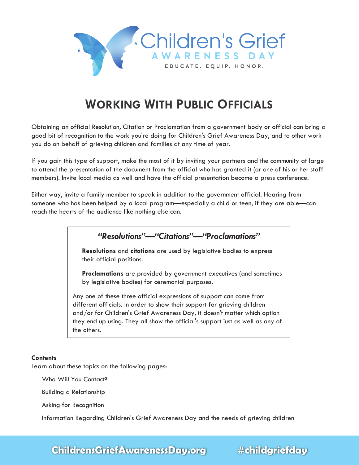

# **WORKING WITH PUBLIC OFFICIALS**

Obtaining an official Resolution, Citation or Proclamation from a government body or official can bring a good bit of recognition to the work you're doing for Children's Grief Awareness Day, and to other work you do on behalf of grieving children and families at any time of year.

If you gain this type of support, make the most of it by inviting your partners and the community at large to attend the presentation of the document from the official who has granted it (or one of his or her staff members). Invite local media as well and have the official presentation become a press conference.

Either way, invite a family member to speak in addition to the government official. Hearing from someone who has been helped by a local program—especially a child or teen, if they are able—can reach the hearts of the audience like nothing else can.

*"Resolutions"—"Citations"—"Proclamations"*

 **Resolutions** and **citations** are used by legislative bodies to express their official positions.

**Proclamations** are provided by government executives (and sometimes by legislative bodies) for ceremonial purposes.

Any one of these three official expressions of support can come from different officials. In order to show their support for grieving children and/or for Children's Grief Awareness Day, it doesn't matter which option they end up using. They all show the official's support just as well as any of the others.

#### **Contents**

Learn about these topics on the following pages:

Who Will You Contact?

Building a Relationship

Asking for Recognition

Information Regarding Children's Grief Awareness Day and the needs of grieving children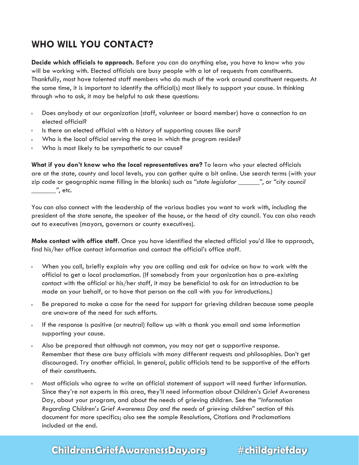## **WHO WILL YOU CONTACT?**

**Decide which officials to approach.** Before you can do anything else, you have to know who you will be working with. Elected officials are busy people with a lot of requests from constituents. Thankfully, most have talented staff members who do much of the work around constituent requests. At the same time, it is important to identify the official(s) most likely to support your cause. In thinking through who to ask, it may be helpful to ask these questions:

- Does anybody at our organization (staff, volunteer or board member) have a connection to an elected official?
- Is there an elected official with a history of supporting causes like ours?
- Who is the local official serving the area in which the program resides?
- Who is most likely to be sympathetic to our cause?

**What if you don't know who the local representatives are?** To learn who your elected officials are at the state, county and local levels, you can gather quite a bit online. Use search terms (with your zip code or geographic name filling in the blanks) such as *"state legislator \_\_\_\_\_\_"*, or *"city council \_\_\_\_\_\_\_"*, etc.

You can also connect with the leadership of the various bodies you want to work with, including the president of the state senate, the speaker of the house, or the head of city council. You can also reach out to executives (mayors, governors or county executives).

**Make contact with office staff.** Once you have identified the elected official you'd like to approach, find his/her office contact information and contact the official's office staff.

- When you call, briefly explain why you are calling and ask for advice on how to work with the official to get a local proclamation. (If somebody from your organization has a pre-existing contact with the official or his/her staff, it may be beneficial to ask for an introduction to be made on your behalf, or to have that person on the call with you for introductions.)
- Be prepared to make a case for the need for support for grieving children because some people are unaware of the need for such efforts.
- If the response is positive (or neutral) follow up with a thank you email and some information supporting your cause.
- Also be prepared that although not common, you may not get a supportive response. Remember that these are busy officials with many different requests and philosophies. Don't get discouraged. Try another official. In general, public officials tend to be supportive of the efforts of their constituents.
- Most officials who agree to write an official statement of support will need further information. Since they're not experts in this area, they'll need information about Children's Grief Awareness Day, about your program, and about the needs of grieving children. See the *"Information Regarding Children's Grief Awareness Day and the needs of grieving children"* section of this document for more specifics; also see the sample Resolutions, Citations and Proclamations included at the end.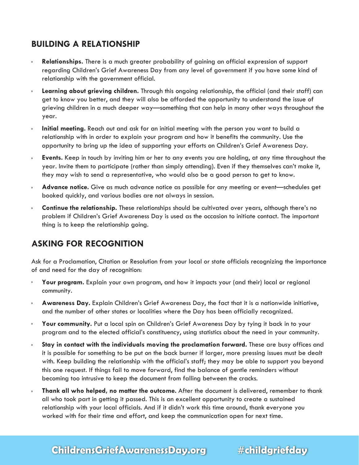### **BUILDING A RELATIONSHIP**

- **Relationships.** There is a much greater probability of gaining an official expression of support regarding Children's Grief Awareness Day from any level of government if you have some kind of relationship with the government official.
- **Learning about grieving children.** Through this ongoing relationship, the official (and their staff) can ò. get to know you better, and they will also be afforded the opportunity to understand the issue of grieving children in a much deeper way—something that can help in many other ways throughout the year.
- **Initial meeting.** Reach out and ask for an initial meeting with the person you want to build a relationship with in order to explain your program and how it benefits the community. Use the opportunity to bring up the idea of supporting your efforts on Children's Grief Awareness Day.
- **Events.** Keep in touch by inviting him or her to any events you are holding, at any time throughout the  $\mathbf{r}$  year. Invite them to participate (rather than simply attending). Even if they themselves can't make it, they may wish to send a representative, who would also be a good person to get to know.
- **Advance notice.** Give as much advance notice as possible for any meeting or event—schedules get booked quickly, and various bodies are not always in session.
- **Continue the relationship.** These relationships should be cultivated over years, although there's no  $\mathbb{R}^+$  problem if Children's Grief Awareness Day is used as the occasion to initiate contact. The important thing is to keep the relationship going.

#### **ASKING FOR RECOGNITION**

Ask for a Proclamation, Citation or Resolution from your local or state officials recognizing the importance of and need for the day of recognition:

- **Your program.** Explain your own program, and how it impacts your (and their) local or regional ö. community.
- **Awareness Day.** Explain Children's Grief Awareness Day, the fact that it is a nationwide initiative, and the number of other states or localities where the Day has been officially recognized.
- **Your community.** Put a local spin on Children's Grief Awareness Day by tying it back in to your D. program and to the elected official's constituency, using statistics about the need in your community.
- **Stay in contact with the individuals moving the proclamation forward.** These are busy offices and ò. it is possible for something to be put on the back burner if larger, more pressing issues must be dealt with. Keep building the relationship with the official's staff; they may be able to support you beyond this one request. If things fail to move forward, find the balance of gentle reminders without becoming too intrusive to keep the document from falling between the cracks.
- **Thank all who helped, no matter the outcome.** After the document is delivered, remember to thank all who took part in getting it passed. This is an excellent opportunity to create a sustained relationship with your local officials. And if it didn't work this time around, thank everyone you worked with for their time and effort, and keep the communication open for next time.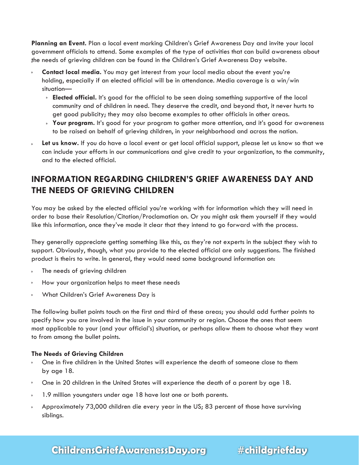**Planning an Event.** Plan a local event marking Children's Grief Awareness Day and invite your local government officials to attend. Some examples of the type of activities that can build awareness about the needs of grieving children can be found in the Children's Grief Awareness Day website.

- **Contact local media.** You may get interest from your local media about the event you're holding, especially if an elected official will be in attendance. Media coverage is a win/win situation—
	- **Elected official.** It's good for the official to be seen doing something supportive of the local community and of children in need. They deserve the credit, and beyond that, it never hurts to get good publicity; they may also become examples to other officials in other areas.
	- **Your program.** It's good for your program to gather more attention, and it's good for awareness to be raised on behalf of grieving children, in your neighborhood and across the nation.
- **Let us know.** If you do have a local event or get local official support, please let us know so that we can include your efforts in our communications and give credit to your organization, to the community, and to the elected official.

### **INFORMATION REGARDING CHILDREN'S GRIEF AWARENESS DAY AND THE NEEDS OF GRIEVING CHILDREN**

You may be asked by the elected official you're working with for information which they will need in order to base their Resolution/Citation/Proclamation on. Or you might ask them yourself if they would like this information, once they've made it clear that they intend to go forward with the process.

They generally appreciate getting something like this, as they're not experts in the subject they wish to support. Obviously, though, what you provide to the elected official are only suggestions. The finished product is theirs to write. In general, they would need some background information on:

- The needs of grieving children
- **How your organization helps to meet these needs**
- What Children's Grief Awareness Day is

The following bullet points touch on the first and third of these areas; you should add further points to specify how you are involved in the issue in your community or region. Choose the ones that seem most applicable to your (and your official's) situation, or perhaps allow them to choose what they want to from among the bullet points.

#### **The Needs of Grieving Children**

- One in five children in the United States will experience the death of someone close to them by age 18.
- One in 20 children in the United States will experience the death of a parent by age 18.
- 1.9 million youngsters under age 18 have lost one or both parents.
- Approximately 73,000 children die every year in the US; 83 percent of those have surviving siblings.